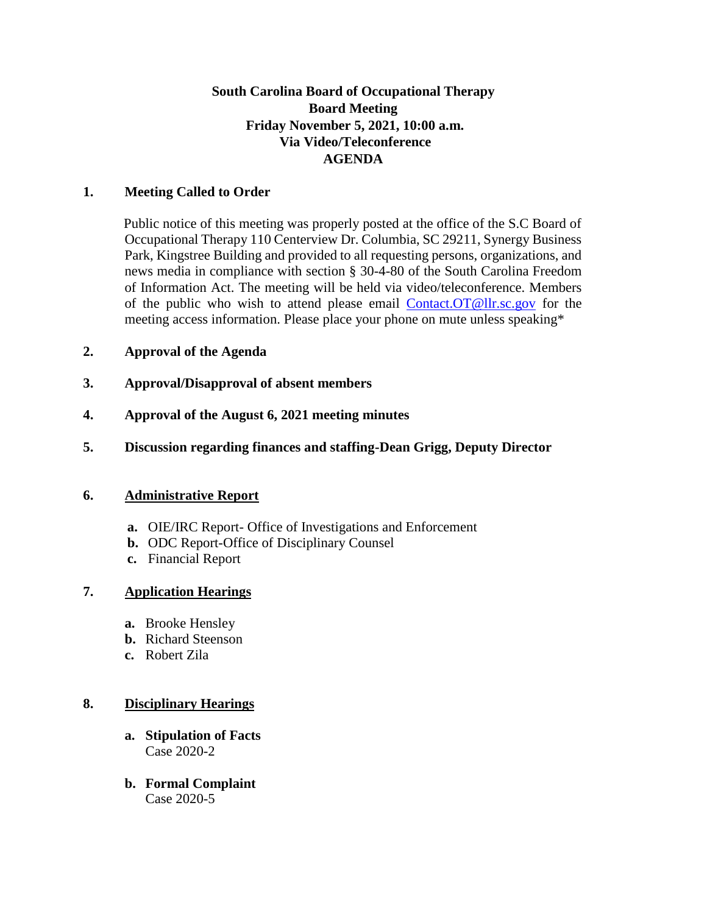## **South Carolina Board of Occupational Therapy Board Meeting Friday November 5, 2021, 10:00 a.m. Via Video/Teleconference AGENDA**

### **1. Meeting Called to Order**

Public notice of this meeting was properly posted at the office of the S.C Board of Occupational Therapy 110 Centerview Dr. Columbia, SC 29211, Synergy Business Park, Kingstree Building and provided to all requesting persons, organizations, and news media in compliance with section § 30-4-80 of the South Carolina Freedom of Information Act. The meeting will be held via video/teleconference. Members of the public who wish to attend please email Contact.OT@llr.sc.gov for the meeting access information. Please place your phone on mute unless speaking\*

### **2. Approval of the Agenda**

- **3. Approval/Disapproval of absent members**
- **4. Approval of the August 6, 2021 meeting minutes**
- **5. Discussion regarding finances and staffing-Dean Grigg, Deputy Director**

#### **6. Administrative Report**

- **a.** OIE/IRC Report- Office of Investigations and Enforcement
- **b.** ODC Report-Office of Disciplinary Counsel
- **c.** Financial Report

#### **7. Application Hearings**

- **a.** Brooke Hensley
- **b.** Richard Steenson
- **c.** Robert Zila

#### **8. Disciplinary Hearings**

- **a. Stipulation of Facts** Case 2020-2
- **b. Formal Complaint** Case 2020-5